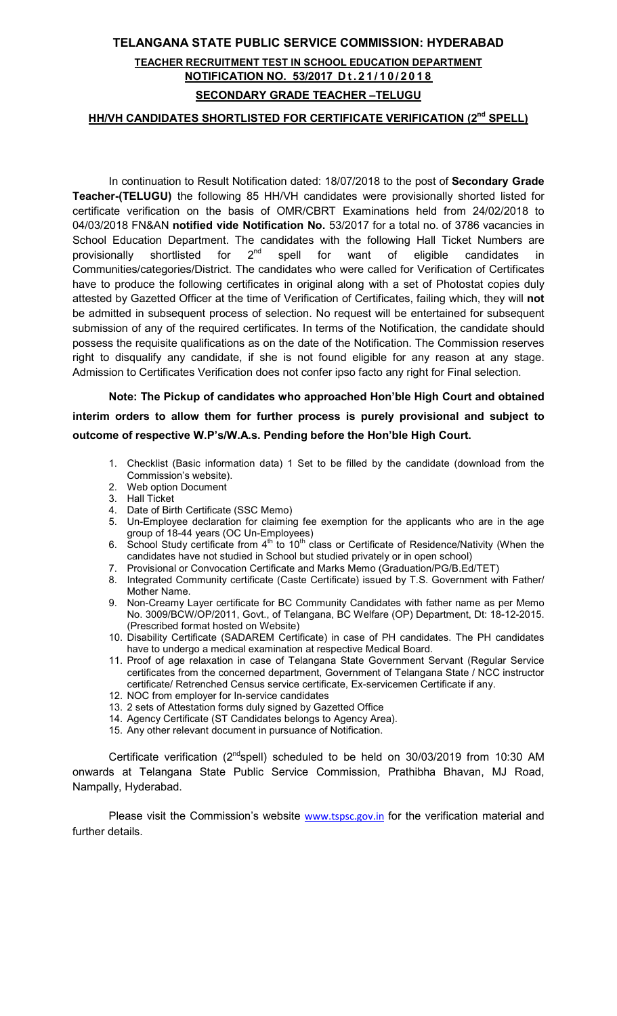### TELANGANA STATE PUBLIC SERVICE COMMISSION: HYDERABAD

### TEACHER RECRUITMENT TEST IN SCHOOL EDUCATION DEPARTMENT NOTIFICATION NO. 53/2017 Dt. 21/10/2018 SECONDARY GRADE TEACHER –TELUGU

#### HH/VH CANDIDATES SHORTLISTED FOR CERTIFICATE VERIFICATION (2<sup>nd</sup> SPELL)

In continuation to Result Notification dated: 18/07/2018 to the post of Secondary Grade Teacher-(TELUGU) the following 85 HH/VH candidates were provisionally shorted listed for certificate verification on the basis of OMR/CBRT Examinations held from 24/02/2018 to 04/03/2018 FN&AN notified vide Notification No. 53/2017 for a total no. of 3786 vacancies in School Education Department. The candidates with the following Hall Ticket Numbers are provisionally shortlisted for  $2^{nd}$  spell for want of eligible candidates in Communities/categories/District. The candidates who were called for Verification of Certificates have to produce the following certificates in original along with a set of Photostat copies duly attested by Gazetted Officer at the time of Verification of Certificates, failing which, they will not be admitted in subsequent process of selection. No request will be entertained for subsequent submission of any of the required certificates. In terms of the Notification, the candidate should possess the requisite qualifications as on the date of the Notification. The Commission reserves right to disqualify any candidate, if she is not found eligible for any reason at any stage. Admission to Certificates Verification does not confer ipso facto any right for Final selection.

Note: The Pickup of candidates who approached Hon'ble High Court and obtained interim orders to allow them for further process is purely provisional and subject to outcome of respective W.P's/W.A.s. Pending before the Hon'ble High Court.

- 1. Checklist (Basic information data) 1 Set to be filled by the candidate (download from the Commission's website).
- 2. Web option Document
- 3. Hall Ticket
- 4. Date of Birth Certificate (SSC Memo)
- 5. Un-Employee declaration for claiming fee exemption for the applicants who are in the age group of 18-44 years (OC Un-Employees)
- 6. School Study certificate from  $4<sup>th</sup>$  to  $10<sup>th</sup>$  class or Certificate of Residence/Nativity (When the candidates have not studied in School but studied privately or in open school)
- 7. Provisional or Convocation Certificate and Marks Memo (Graduation/PG/B.Ed/TET)
- 8. Integrated Community certificate (Caste Certificate) issued by T.S. Government with Father/ Mother Name.
- 9. Non-Creamy Layer certificate for BC Community Candidates with father name as per Memo No. 3009/BCW/OP/2011, Govt., of Telangana, BC Welfare (OP) Department, Dt: 18-12-2015. (Prescribed format hosted on Website)
- 10. Disability Certificate (SADAREM Certificate) in case of PH candidates. The PH candidates have to undergo a medical examination at respective Medical Board.
- 11. Proof of age relaxation in case of Telangana State Government Servant (Regular Service certificates from the concerned department, Government of Telangana State / NCC instructor certificate/ Retrenched Census service certificate, Ex-servicemen Certificate if any.
- 12. NOC from employer for In-service candidates
- 13. 2 sets of Attestation forms duly signed by Gazetted Office
- 14. Agency Certificate (ST Candidates belongs to Agency Area).
- 15. Any other relevant document in pursuance of Notification.

Certificate verification (2ndspell) scheduled to be held on 30/03/2019 from 10:30 AM onwards at Telangana State Public Service Commission, Prathibha Bhavan, MJ Road, Nampally, Hyderabad.

Please visit the Commission's website www.tspsc.gov.in for the verification material and further details.